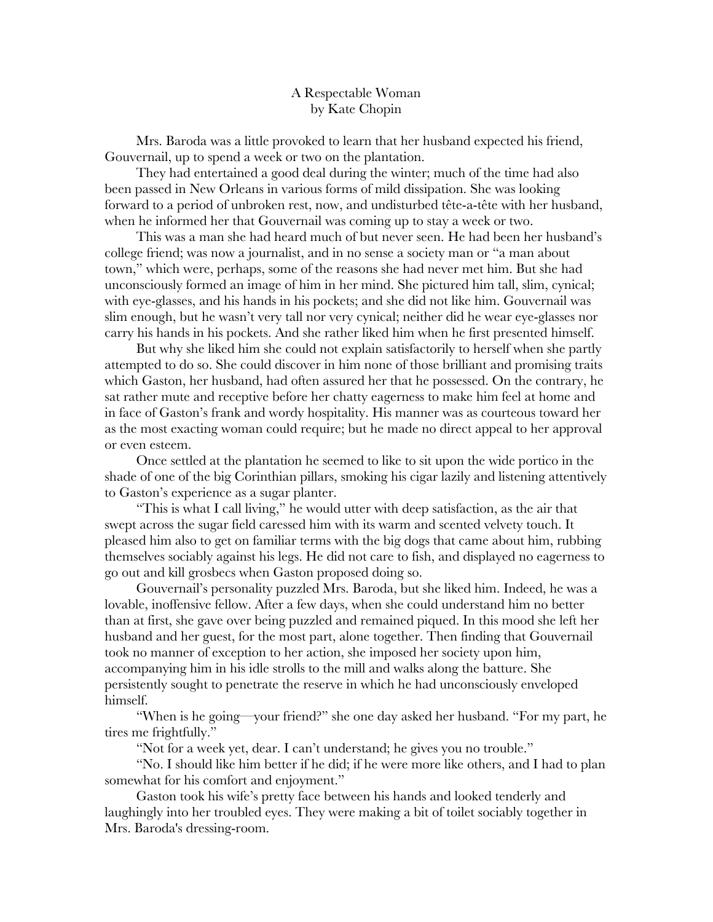## A Respectable Woman by Kate Chopin

Mrs. Baroda was a little provoked to learn that her husband expected his friend, Gouvernail, up to spend a week or two on the plantation.

They had entertained a good deal during the winter; much of the time had also been passed in New Orleans in various forms of mild dissipation. She was looking forward to a period of unbroken rest, now, and undisturbed tête-a-tête with her husband, when he informed her that Gouvernail was coming up to stay a week or two.

This was a man she had heard much of but never seen. He had been her husband's college friend; was now a journalist, and in no sense a society man or "a man about town," which were, perhaps, some of the reasons she had never met him. But she had unconsciously formed an image of him in her mind. She pictured him tall, slim, cynical; with eye-glasses, and his hands in his pockets; and she did not like him. Gouvernail was slim enough, but he wasn't very tall nor very cynical; neither did he wear eye-glasses nor carry his hands in his pockets. And she rather liked him when he first presented himself.

But why she liked him she could not explain satisfactorily to herself when she partly attempted to do so. She could discover in him none of those brilliant and promising traits which Gaston, her husband, had often assured her that he possessed. On the contrary, he sat rather mute and receptive before her chatty eagerness to make him feel at home and in face of Gaston's frank and wordy hospitality. His manner was as courteous toward her as the most exacting woman could require; but he made no direct appeal to her approval or even esteem.

Once settled at the plantation he seemed to like to sit upon the wide portico in the shade of one of the big Corinthian pillars, smoking his cigar lazily and listening attentively to Gaston's experience as a sugar planter.

"This is what I call living," he would utter with deep satisfaction, as the air that swept across the sugar field caressed him with its warm and scented velvety touch. It pleased him also to get on familiar terms with the big dogs that came about him, rubbing themselves sociably against his legs. He did not care to fish, and displayed no eagerness to go out and kill grosbecs when Gaston proposed doing so.

Gouvernail's personality puzzled Mrs. Baroda, but she liked him. Indeed, he was a lovable, inoffensive fellow. After a few days, when she could understand him no better than at first, she gave over being puzzled and remained piqued. In this mood she left her husband and her guest, for the most part, alone together. Then finding that Gouvernail took no manner of exception to her action, she imposed her society upon him, accompanying him in his idle strolls to the mill and walks along the batture. She persistently sought to penetrate the reserve in which he had unconsciously enveloped himself.

"When is he going—your friend?" she one day asked her husband. "For my part, he tires me frightfully."

"Not for a week yet, dear. I can't understand; he gives you no trouble."

"No. I should like him better if he did; if he were more like others, and I had to plan somewhat for his comfort and enjoyment."

Gaston took his wife's pretty face between his hands and looked tenderly and laughingly into her troubled eyes. They were making a bit of toilet sociably together in Mrs. Baroda's dressing-room.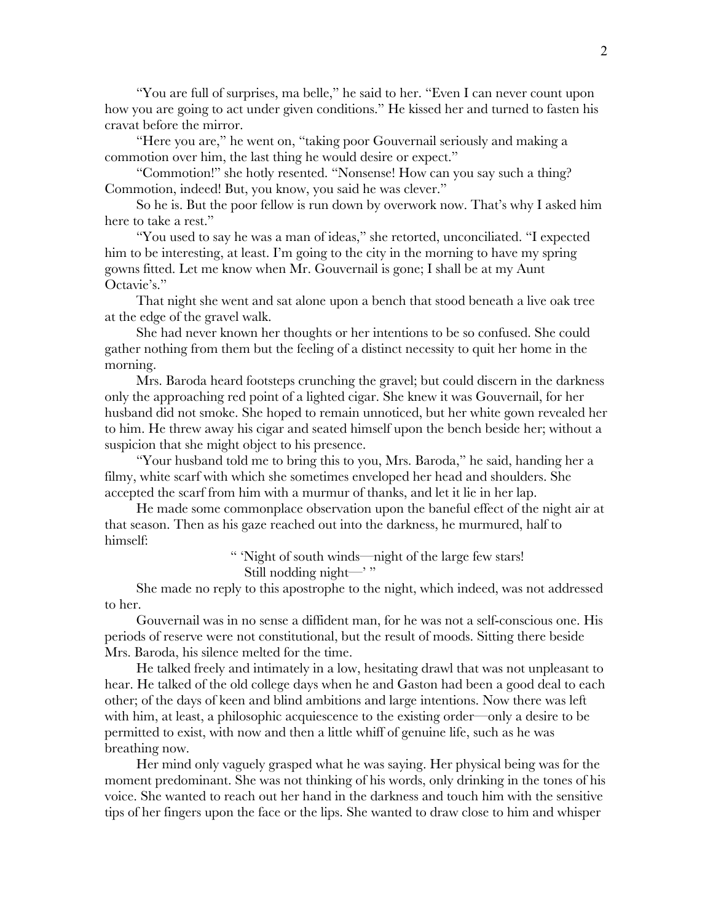"You are full of surprises, ma belle," he said to her. "Even I can never count upon how you are going to act under given conditions." He kissed her and turned to fasten his cravat before the mirror.

"Here you are," he went on, "taking poor Gouvernail seriously and making a commotion over him, the last thing he would desire or expect."

"Commotion!" she hotly resented. "Nonsense! How can you say such a thing? Commotion, indeed! But, you know, you said he was clever."

So he is. But the poor fellow is run down by overwork now. That's why I asked him here to take a rest."

"You used to say he was a man of ideas," she retorted, unconciliated. "I expected him to be interesting, at least. I'm going to the city in the morning to have my spring gowns fitted. Let me know when Mr. Gouvernail is gone; I shall be at my Aunt Octavie's."

That night she went and sat alone upon a bench that stood beneath a live oak tree at the edge of the gravel walk.

She had never known her thoughts or her intentions to be so confused. She could gather nothing from them but the feeling of a distinct necessity to quit her home in the morning.

Mrs. Baroda heard footsteps crunching the gravel; but could discern in the darkness only the approaching red point of a lighted cigar. She knew it was Gouvernail, for her husband did not smoke. She hoped to remain unnoticed, but her white gown revealed her to him. He threw away his cigar and seated himself upon the bench beside her; without a suspicion that she might object to his presence.

"Your husband told me to bring this to you, Mrs. Baroda," he said, handing her a filmy, white scarf with which she sometimes enveloped her head and shoulders. She accepted the scarf from him with a murmur of thanks, and let it lie in her lap.

He made some commonplace observation upon the baneful effect of the night air at that season. Then as his gaze reached out into the darkness, he murmured, half to himself:

> " 'Night of south winds—night of the large few stars! Still nodding night— $'$ "

She made no reply to this apostrophe to the night, which indeed, was not addressed to her.

Gouvernail was in no sense a diffident man, for he was not a self-conscious one. His periods of reserve were not constitutional, but the result of moods. Sitting there beside Mrs. Baroda, his silence melted for the time.

He talked freely and intimately in a low, hesitating drawl that was not unpleasant to hear. He talked of the old college days when he and Gaston had been a good deal to each other; of the days of keen and blind ambitions and large intentions. Now there was left with him, at least, a philosophic acquiescence to the existing order—only a desire to be permitted to exist, with now and then a little whiff of genuine life, such as he was breathing now.

Her mind only vaguely grasped what he was saying. Her physical being was for the moment predominant. She was not thinking of his words, only drinking in the tones of his voice. She wanted to reach out her hand in the darkness and touch him with the sensitive tips of her fingers upon the face or the lips. She wanted to draw close to him and whisper